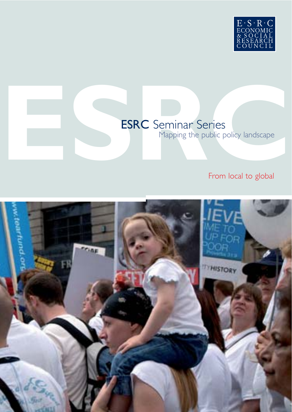

# ESRC Seminar Series<br>
Mapping the public policy landscape<br>
From local to global ESRC Seminar Series

Mapping the public policy landscape

# From local to global

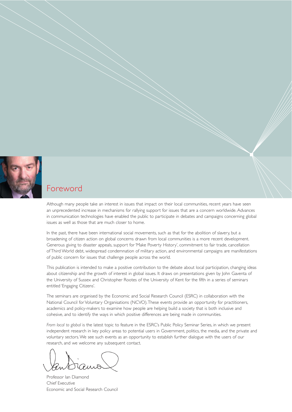

## Foreword

Although many people take an interest in issues that impact on their local communities, recent years have seen an unprecedented increase in mechanisms for rallying support for issues that are a concern worldwide. Advances in communication technologies have enabled the public to participate in debates and campaigns concerning global issues as well as those that are much closer to home.

In the past, there have been international social movements, such as that for the abolition of slavery, but a broadening of citizen action on global concerns drawn from local communities is a more recent development. Generous giving to disaster appeals, support for 'Make Poverty History', commitment to fair trade, cancellation of Third World debt, widespread condemnation of military action, and environmental campaigns are manifestations of public concern for issues that challenge people across the world.

This publication is intended to make a positive contribution to the debate about local participation, changing ideas about citizenship and the growth of interest in global issues. It draws on presentations given by John Gaventa of the University of Sussex and Christopher Rootes of the University of Kent for the fifth in a series of seminars entitled 'Engaging Citizens'.

The seminars are organised by the Economic and Social Research Council (ESRC) in collaboration with the National Council for Voluntary Organisations (NCVO).These events provide an opportunity for practitioners, academics and policy-makers to examine how people are helping build a society that is both inclusive and cohesive, and to identify the ways in which positive differences are being made in communities.

*From local to global* is the latest topic to feature in the ESRC's Public Policy Seminar Series, in which we present independent research in key policy areas to potential users in Government, politics, the media, and the private and voluntary sectors.We see such events as an opportunity to establish further dialogue with the users of our research, and we welcome any subsequent contact.

Professor Ian Diamond Chief Executive Economic and Social Research Council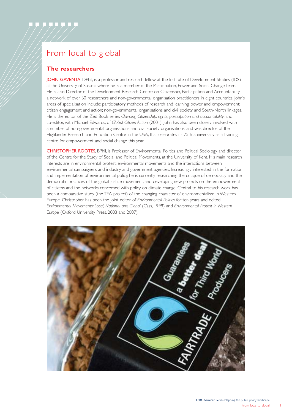# From local to global

## **The researchers**

JOHN GAVENTA, DPhil, is a professor and research fellow at the Institute of Development Studies (IDS) at the University of Sussex, where he is a member of the Participation, Power and Social Change team. He is also Director of the Development Research Centre on Citizenship, Participation and Accountability – a network of over 60 researchers and non-governmental organisation practitioners in eight countries. John's areas of specialisation include: participatory methods of research and learning; power and empowerment; citizen engagement and action; non-governmental organisations and civil society and South-North linkages. He is the editor of the Zed Book series *Claiming Citizenship: rights, participation and accountability*, and co-editor, with Michael Edwards, of *Global Citizen Action* (2001). John has also been closely involved with a number of non-governmental organisations and civil society organisations, and was director of the Highlander Research and Education Centre in the USA, that celebrates its 75th anniversary as a training centre for empowerment and social change this year.

CHRISTOPHER ROOTES, BPhil, is Professor of Environmental Politics and Political Sociology and director of the Centre for the Study of Social and Political Movements, at the University of Kent. His main research interests are in environmental protest, environmental movements and the interactions between environmental campaigners and industry and government agencies. Increasingly interested in the formation and implementation of environmental policy, he is currently researching the critique of democracy and the democratic practices of the global justice movement, and developing new projects on the empowerment of citizens and the networks concerned with policy on climate change. Central to his research work has been a comparative study (the TEA project) of the changing character of environmentalism in Western Europe. Christopher has been the joint editor of *Environmental Politics* for ten years and edited *Environmental Movements: Local, National and Global* (Cass, 1999) and *Environmental Protest in Western Europe* (Oxford University Press, 2003 and 2007).

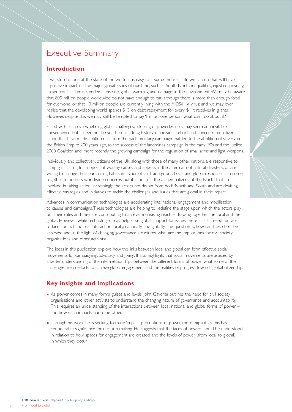## Executive Summary

### **Introduction**

If we stop to look at the state of the world, it is easy to assume there is little we can do that will have a positive impact on the major global issues of our time, such as South-North inequalities, injustice, poverty, armed conflict, famine, endemic disease, global warming and damage to the environment.We may be aware that 800 million people worldwide do not have enough to eat, although there is more than enough food for everyone, or that 40 million people are currently living with the AIDS/HIV virus; and we may even realise that the developing world spends \$13 on debt repayment for every \$1 it receives in grants. However, despite this we may still be tempted to say,'I'm just one person, what can I do about it?'

Faced with such overwhelming global challenges, a feeling of powerlessness may seem an inevitable consequence, but it need not be so.There is a long history of individual effort and concentrated citizen action that have made a difference, from the parliamentary campaign that led to the abolition of slavery in the British Empire 200 years ago, to the success of the landmines campaign in the early '90s and the Jubilee 2000 Coalition and, more recently, the growing campaign for the regulation of small arms and light weapons.

Individually and collectively, citizens of the UK, along with those of many other nations, are responsive to campaigns calling for support of worthy causes and appeals in the aftermath of natural disasters, or are willing to change their purchasing habits in favour of fair-trade goods. Local and global responses can come together to address worldwide concerns, but it is not just the affluent citizens of the North that are involved in taking action. Increasingly, the actors are drawn from both North and South and are devising effective strategies and initiatives to tackle the challenges and issues that are global in their impact.

Advances in communication technologies are accelerating international engagement and mobilisation to causes and campaigns.These technologies are helping to redefine the stage upon which the actors play out their roles and they are contributing to an ever-increasing reach – drawing together the local and the global. However, while technologies may help raise global support for issues, there is still a need for faceto-face contact and real interaction locally, nationally, and globally.The question is, how can these best be achieved and, in the light of changing governance structures, what are the implications for civil society organisations and other activists?

The ideas in this publication explore how the links between local and global can form effective social movements for campaigning, advocacy and giving. It also highlights that social movements are assisted by a better understanding of the inter-relationships between the different forms of power, what some of the challenges are in efforts to achieve global engagement, and the realities of progress towards global citizenship.

#### **Key insights and implications**

- **As power comes in many forms, guises and levels, John Gaventa outlines the need for civil society** organisations and other activists to understand the changing nature of governance and accountability. This requires an understanding of the interactions between local, national and global forms of power – and how each impacts upon the other.
- **Through his work, he is seeking to make 'implicit perceptions of power, more explicit' as this has** considerable significance for decision-making. He suggests that the faces of power should be understood in relation to how spaces for engagement are created, and the levels of power (from local to global) in which they occur.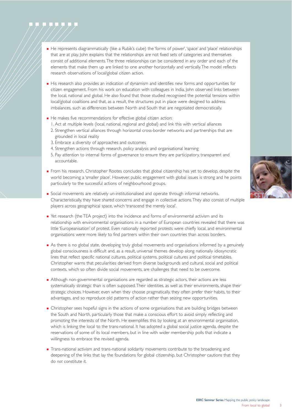- ! He represents diagrammatically (like a Rubik's cube) the 'forms of power','space' and 'place' relationships that are at play. John explains that the relationships are not fixed sets of categories and themselves consist of additional elements.The three relationships can be considered in any order and each of the elements that make them up are linked to one another horizontally and vertically.The model reflects research observations of local/global citizen action.
- **I** His research also provides an indication of dynamism and identifies new forms and opportunities for citizen engagement. From his work on education with colleagues in India, John observed links between the local, national and global. He also found that those studied recognised the potential tensions within local/global coalitions and that, as a result, the structures put in place were designed to address imbalances, such as differences between North and South that are negotiated democratically.
- **EXECTE HE makes five recommendations for effective global citizen action:** 
	- 1. Act at multiple levels (local, national, regional and global) and link this with vertical alliances
	- 2. Strengthen vertical alliances through horizontal cross-border networks and partnerships that are grounded in local reality
	- 3. Embrace a diversity of approaches and outcomes
	- 4. Strengthen actions through research, policy analysis and organisational learning
	- 5. Pay attention to internal forms of governance to ensure they are participatory, transparent and accountable.
- **.** From his research, Christopher Rootes concludes that global citizenship has yet to develop, despite the world becoming a 'smaller place'. However, public engagement with global issues is strong and he points particularly to the successful actions of neighbourhood groups.
- **.** Social movements are relatively un-institutionalised and operate through informal networks. Characteristically, they have shared concerns and engage in collective actions.They also consist of multiple players across geographical space, which 'transcend the merely local'.
- I Yet research (the TEA project) into the incidence and forms of environmental activism and its relationship with environmental organisations in a number of European countries revealed that there was little 'Europeanisation' of protest. Even nationally reported protests were chiefly local, and environmental organisations were more likely to find partners within their own countries than across borders.
- **•** As there is no global state, developing truly global movements and organisations informed by a genuinely global consciousness is difficult and, as a result, universal themes develop along nationally idiosyncratic lines that reflect specific national cultures, political systems, political cultures and political timetables. Christopher warns that peculiarities derived from diverse backgrounds and cultural, social and political contexts, which so often divide social movements, are challenges that need to be overcome.
- ! Although non-governmental organisations are regarded as strategic actors, their actions are less systematically strategic than is often supposed.Their identities, as well as their environments, shape their strategic choices. However, even when they choose pragmatically, they often prefer their habits, to their advantages, and so reproduce old patterns of action rather than seizing new opportunities.
- **.** Christopher sees hopeful signs in the actions of some organisations that are building bridges between the South and North, particularly those that make a conscious effort to avoid simply reflecting and promoting the interests of the North. He exemplifies this by looking at an environmental organisation, which is linking the local to the trans-national. It has adopted a global social justice agenda, despite the reservations of some of its local members, but in line with wider membership polls that indicate a willingness to embrace the revised agenda.
- **Trans-national activism and trans-national solidarity movements contribute to the broadening and** deepening of the links that lay the foundations for global citizenship, but Christopher cautions that they do *not* constitute it.

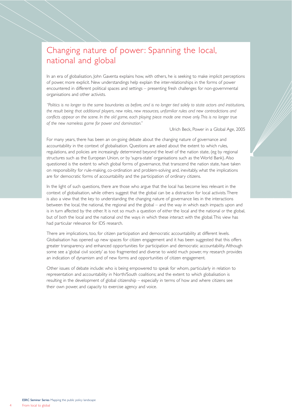## Changing nature of power: Spanning the local, national and global

In an era of globalisation, John Gaventa explains how, with others, he is seeking to make implicit perceptions of power, more explicit. New understandings help explain the inter-relationships in the forms of power encountered in different political spaces and settings – presenting fresh challenges for non-governmental organisations and other activists.

*"Politics is no longer to the same boundaries as before, and is no longer tied solely to state actors and institutions, the result being that additional players, new roles, new resources, unfamiliar rules and new contradictions and* conflicts appear on the scene. In the old game, each playing piece made one move only. This is no longer true *of the new nameless game for power and domination."*

Ulrich Beck, Power in a Global Age, 2005

For many years, there has been an on-going debate about the changing nature of governance and accountability in the context of globalisation. Questions are asked about the extent to which rules, regulations, and policies are increasingly determined beyond the level of the nation state, (eg by regional structures such as the European Union, or by 'supra-state' organisations such as the World Bank). Also questioned is the extent to which global forms of governance, that transcend the nation state, have taken on responsibility for rule-making, co-ordination and problem-solving and, inevitably, what the implications are for democratic forms of accountability and the participation of ordinary citizens.

In the light of such questions, there are those who argue that the local has become less relevant in the context of globalisation, while others suggest that the global can be a distraction for local activists.There is also a view that the key to understanding the changing nature of governance lies in the interactions between the local, the national, the regional and the global – and the way in which each impacts upon and is in turn affected by the other. It is not so much a question of *either* the local and the national *or* the global, but of *both* the local and the national *and* the ways in which these interact with the global.This view has had particular relevance for IDS research.

There are implications, too, for citizen participation and democratic accountability at different levels. Globalisation has opened up new spaces for citizen engagement and it has been suggested that this offers greater transparency and enhanced opportunities for participation and democratic accountability. Although some see a 'global civil society' as too fragmented and diverse to wield much power, my research provides an indication of dynamism and of new forms and opportunities of citizen engagement.

Other issues of debate include: who is being empowered to speak for whom, particularly in relation to representation and accountability in North/South coalitions; and the extent to which globalisation is resulting in the development of global citizenship – especially in terms of how and where citizens see their own power, and capacity to exercise agency and voice.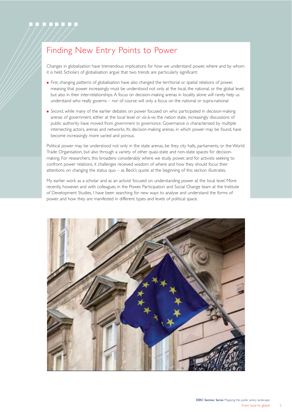## Finding New Entry Points to Power

Changes in globalisation have tremendous implications for how we understand power, where and by whom it is held. Scholars of globalisation argue that two trends are particularly significant:

- ! *First*, changing patterns of globalisation have also changed the territorial or spatial relations of power, meaning that power increasingly must be understood not only at the local, the national, or the global level, but also in their inter-relationships. A focus on decision-making arenas in locality alone will rarely help us understand who really governs – nor of course will only a focus on the national or supra-national.
- **.** Second, while many of the earlier debates on power focused on who participated in decision-making arenas of government, either at the local level or vis-à-vis the nation state, increasingly discussions of public authority have moved from *government to governance*. Governance is characterised by multiple intersecting actors, arenas and networks. Its decision-making arenas, in which power may be found, have become increasingly more varied and porous.

Political power may be understood not only in the state arenas, be they city halls, parliaments, or the World Trade Organisation, but also through a variety of other quasi-state and non-state spaces for decisionmaking. For researchers, this broadens considerably where we study power, and for activists seeking to confront power relations, it challenges received wisdom of where and how they should focus their attentions on changing the status quo – as Beck's quote at the beginning of this section illustrates.

My earlier work as a scholar and as an activist focused on understanding power at the local level. More recently, however, and with colleagues in the Power, Participation and Social Change team at the Institute of Development Studies, I have been searching for new ways to analyse and understand the forms of power, and how they are manifested in different types and levels of political space.

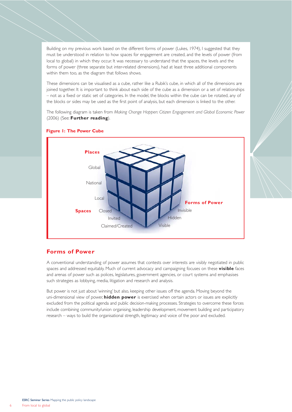Building on my previous work based on the different forms of power (Lukes, 1974), I suggested that they must be understood in relation to how spaces for engagement are created, and the levels of power (from local to global) in which they occur. It was necessary to understand that the spaces, the levels and the forms of power (three separate but inter-related dimensions), had at least three additional components within them too, as the diagram that follows shows.

These dimensions can be visualised as a cube, rather like a Rubik's cube, in which all of the dimensions are joined together. It is important to think about each side of the cube as a dimension or a set of relationships – not as a fixed or static set of categories. In the model, the blocks within the cube can be rotated, any of the blocks or sides may be used as the first point of analysis, but each dimension is linked to the other.

The following diagram is taken from *Making Change Happen: Citizen Engagement and Global Economic Power* (2006) (See: **Further reading**).



#### **Figure 1: The Power Cube**

#### **Forms of Power**

A conventional understanding of power assumes that contests over interests are visibly negotiated in public spaces and addressed equitably. Much of current advocacy and campaigning focuses on these **visible** faces and arenas of power such as polices, legislatures, government agencies, or court systems and emphasises such strategies as lobbying, media, litigation and research and analysis.

But power is not just about 'winning' but also, keeping other issues off the agenda. Moving beyond the uni-dimensional view of power, **hidden power** is exercised when certain actors or issues are explicitly excluded from the political agenda and public decision-making processes. Strategies to overcome these forces include combining community/union organising, leadership development, movement building and participatory research – ways to build the organisational strength, legitimacy and voice of the poor and excluded.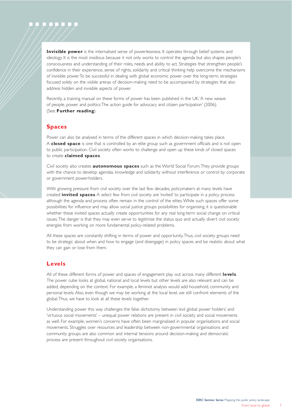**Invisible power** is the internalised sense of powerlessness. It operates through belief systems and ideology. It is the most insidious because it not only works to control the agenda but also shapes people's consciousness and understanding of their roles, needs and ability to act. Strategies that strengthen people's confidence in their experience, sense of rights, solidarity and critical thinking help overcome the mechanisms of invisible power.To be successful in dealing with global economic power over the long-term, strategies focused solely on the visible arenas of decision-making need to be accompanied by strategies that also address hidden and invisible aspects of power.

Recently, a training manual on these forms of power has been published in the UK,'A new weave of people, power and politics:The action guide for advocacy and citizen participation' (2006). (See: **Further reading**).

#### **Spaces**

Power can also be analysed in terms of the different spaces in which decision-making takes place. A **closed space** is one that is controlled by an elite group such as government officials and is not open to public participation. Civil society often works to challenge and open up these kinds of closed spaces to create **claimed spaces**.

Civil society also creates **autonomous spaces** such as the World Social Forum.They provide groups with the chance to develop agendas, knowledge and solidarity without interference or control by corporate or government power-holders.

With growing pressure from civil society over the last few decades, policymakers at many levels have created **invited spaces**. A select few from civil society are 'invited' to participate in a policy process although the agenda and process often remain in the control of the elites.While such spaces offer some possibilities for influence and may allow social justice groups possibilities for organising, it is questionable whether these invited spaces actually create opportunities for any real long-term social change on critical issues.The danger is that they may even serve to legitimise the status quo and actually divert civil society energies from working on more fundamental policy-related problems.

All these spaces are constantly shifting in terms of power and opportunity.Thus, civil society groups need to be strategic about when and how to engage (and disengage) in policy spaces and be realistic about what they can gain or lose from them.

#### **Levels**

All of these different forms of power and spaces of engagement play out across many different **levels**. The power cube looks at global, national and local levels but other levels are also relevant and can be added, depending on the context. For example, a feminist analysis would add household, community and personal levels. Also, even though we may be working at the local level, we still confront elements of the global.Thus, we have to look at all these levels together.

Understanding power this way challenges the false dichotomy between 'evil global power holders' and 'virtuous social movements' – unequal power relations are present in civil society and social movements as well. For example, women's concerns have often been marginalised in popular organisations and social movements. Struggles over resources and leadership between non-governmental organisations and community groups are also common and internal tensions around decision-making and democratic process are present throughout civil society organisations.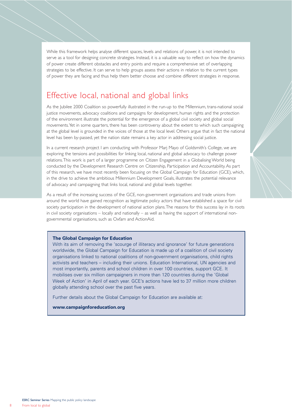While this framework helps analyse different spaces, levels and relations of power, it is not intended to serve as a tool for designing concrete strategies. Instead, it is a valuable way to reflect on how the dynamics of power create different obstacles and entry points and require a comprehensive set of overlapping strategies to be effective. It can serve to help groups assess their actions in relation to the current types of power they are facing and thus help them better choose and combine different strategies in response.

## Effective local, national and global links

As the Jubilee 2000 Coalition so powerfully illustrated in the run-up to the Millennium, trans-national social justice movements, advocacy coalitions and campaigns for development, human rights and the protection of the environment illustrate the potential for the emergence of a global civil society and global social movements.Yet in some quarters, there has been controversy about the extent to which such campaigning at the global level is grounded in the voices of those at the local level. Others argue that in fact the national level has been by-passed, yet the nation state remains a key actor in addressing social justice.

In a current research project I am conducting with Professor Mari Mayo of Goldsmith's College, we are exploring the tensions and possibilities for linking local, national and global advocacy to challenge power relations.This work is part of a larger programme on Citizen Engagement in a Globalising World being conducted by the Development Research Centre on Citizenship, Participation and Accountability. As part of this research, we have most recently been focusing on the Global Campaign for Education (GCE), which, in the drive to achieve the ambitious Millennium Development Goals, illustrates the potential relevance of advocacy and campaigning that links local, national and global levels together.

As a result of the increasing success of the GCE, non-government organisations and trade unions from around the world have gained recognition as legitimate policy actors that have established a space for civil society participation in the development of national action plans.The reasons for this success lay in its roots in civil society organisations – locally and nationally – as well as having the support of international nongovernmental organisations, such as Oxfam and ActionAid.

#### **The Global Campaign for Education**

With its aim of removing the 'scourge of illiteracy and ignorance' for future generations worldwide, the Global Campaign for Education is made up of a coalition of civil society organisations linked to national coalitions of non-government organisations, child rights activists and teachers – including their unions. Education International, UN agencies and most importantly, parents and school children in over 100 countries, support GCE. It mobilises over six million campaigners in more than 120 countries during the 'Global Week of Action' in April of each year. GCE's actions have led to 37 million more children globally attending school over the past five years.

Further details about the Global Campaign for Education are available at:

#### **www.campaignforeducation.org**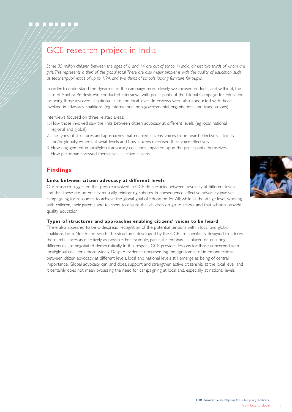# GCE research project in India

*Some 35 million children between the ages of 6 and 14 are out of school in India, almost two thirds of whom are girls.This represents a third of the global total.There are also major problems with the quality of education, such as teacher/pupil ratios of up to 1:94, and two thirds of schools lacking furniture for pupils.*

In order to understand the dynamics of the campaign more closely, we focused on India, and within it, the state of Andhra Pradesh.We conducted interviews with participants of the Global Campaign for Education, including those involved at national, state and local levels. Interviews were also conducted with those involved in advocacy coalitions, (eg international non-governmental organisations and trade unions).

Interviews focused on three related areas:

- 1. How those involved saw the links between citizen advocacy at different levels, (eg local, national, regional and global)
- 2. The types of structures and approaches that enabled citizens' voices to be heard effectively locally and/or globally.Where, at what levels and how citizens exercised their voice effectively
- 3. How engagement in local/global advocacy coalitions impacted upon the participants themselves. How participants viewed themselves as active citizens.

## **Findings**

#### **Links between citizen advocacy at different levels**

Our research suggested that people involved in GCE do see links between advocacy at different levels and that these are potentially mutually reinforcing spheres. In consequence, effective advocacy involves campaigning for resources to achieve the global goal of Education for All; while at the village level, working with children, their parents and teachers to ensure that children do go to school and that schools provide quality education.

#### **Types of structures and approaches enabling citizens' voices to be heard**

There also appeared to be widespread recognition of the potential tensions within local and global coalitions, both North and South.The structures developed by the GCE are specifically designed to address these imbalances as effectively as possible. For example, particular emphasis is placed on ensuring differences are negotiated democratically. In this respect, GCE provides lessons for those concerned with local/global coalitions more widely. Despite evidence documenting the significance of interconnections between citizen advocacy at different levels, local and national levels still emerge as being of central importance. Global advocacy can, and does, support and strengthen active citizenship at the local level; and it certainly does not mean bypassing the need for campaigning at local and, especially, at national levels.

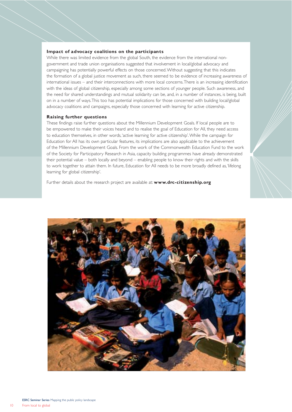#### **Impact of advocacy coalitions on the participants**

While there was limited evidence from the global South, the evidence from the international nongovernment and trade union organisations suggested that involvement in local/global advocacy and campaigning has potentially powerful effects on those concerned.Without suggesting that this indicates the formation of a global justice movement as such, there seemed to be evidence of increasing awareness of international issues – and their interconnections with more local concerns.There is an increasing identification with the ideas of global citizenship, especially among some sections of younger people. Such awareness, and the need for shared understandings and mutual solidarity can be, and, in a number of instances, is being, built on in a number of ways.This too has potential implications for those concerned with building local/global advocacy coalitions and campaigns, especially those concerned with learning for active citizenship.

#### **Raising further questions**

These findings raise further questions about the Millennium Development Goals. If local people are to be empowered to make their voices heard and to realise the goal of Education for All, they need access to education themselves, in other words,'active learning for active citizenship'.While the campaign for Education for All has its own particular features, its implications are also applicable to the achievement of the Millennium Development Goals. From the work of the Commonwealth Education Fund to the work of the Society for Participatory Research in Asia, capacity building programmes have already demonstrated their potential value – both locally and beyond – enabling people to know their rights and with the skills to work together to attain them. In future, Education for All needs to be more broadly defined as,'lifelong learning for global citizenship'.

Further details about the research project are available at: **www.drc-citizenship.org**



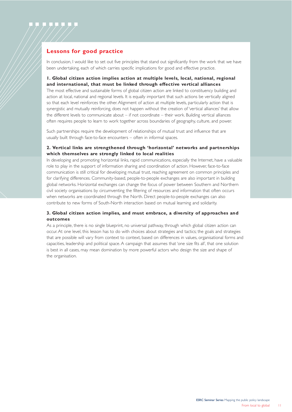## **Lessons for good practice**

In conclusion, I would like to set out five principles that stand out significantly from the work that we have been undertaking, each of which carries specific implications for good and effective practice.

#### **1. Global citizen action implies action at multiple levels, local, national, regional and international, that must be linked through effective vertical alliances**

The most effective and sustainable forms of global citizen action are linked to constituency building and action at local, national and regional levels. It is equally important that such actions be vertically aligned so that each level reinforces the other. Alignment of action at multiple levels, particularly action that is synergistic and mutually reinforcing, does not happen without the creation of 'vertical alliances' that allow the different levels to communicate about – if not coordinate – their work. Building vertical alliances often requires people to learn to work together across boundaries of geography, culture, and power.

Such partnerships require the development of relationships of mutual trust and influence that are usually built through face-to-face encounters – often in informal spaces.

#### **2. Vertical links are strengthened through 'horizontal' networks and partnerships which themselves are strongly linked to local realities**

In developing and promoting horizontal links, rapid communications, especially the Internet, have a valuable role to play in the support of information sharing and coordination of action. However, face-to-face communication is still critical for developing mutual trust, reaching agreement on common principles and for clarifying differences. Community-based, people-to-people exchanges are also important in building global networks. Horizontal exchanges can change the focus of power between Southern and Northern civil society organisations by circumventing the filtering of resources and information that often occurs when networks are coordinated through the North. Direct people-to-people exchanges can also contribute to new forms of South-North interaction based on mutual learning and solidarity.

#### **3. Global citizen action implies, and must embrace, a diversity of approaches and outcomes**

As a principle, there is no single blueprint, no universal pathway, through which global citizen action can occur. At one level, this lesson has to do with choices about strategies and tactics; the goals and strategies that are possible will vary from context to context, based on differences in values, organisational forms and capacities, leadership and political space. A campaign that assumes that 'one size fits all', that one solution is best in all cases, may mean domination by more powerful actors who design the size and shape of the organisation.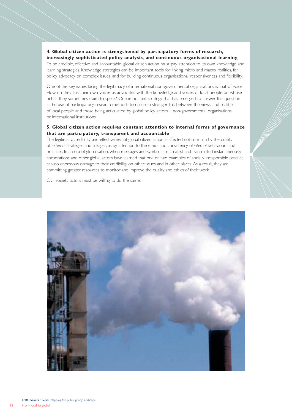## **4. Global citizen action is strengthened by participatory forms of research,**

**increasingly sophisticated policy analysis, and continuous organisational learning** To be credible, effective and accountable, global citizen action must pay attention to its own knowledge and learning strategies. Knowledge strategies can be important tools for linking micro and macro realities, for policy advocacy on complex issues, and for building continuous organisational responsiveness and flexibility.

One of the key issues facing the legitimacy of international non-governmental organisations is that of voice. How do they link their own voices as advocates with the knowledge and voices of local people on whose behalf they sometimes claim to speak? One important strategy that has emerged to answer this question is the use of participatory research methods to ensure a stronger link between the views and realities of local people and those being articulated by global policy actors – non-governmental organisations or international institutions.

#### **5. Global citizen action requires constant attention to internal forms of governance that are participatory, transparent and accountable**

The legitimacy, credibility and effectiveness of global citizen action is affected not so much by the quality of *external* strategies and linkages, as by attention to the ethics and consistency of *internal* behaviours and practices. In an era of globalisation, when messages and symbols are created and transmitted instantaneously, corporations and other global actors have learned that one or two examples of socially irresponsible practice can do enormous damage to their credibility on other issues and in other places. As a result, they are committing greater resources to monitor and improve the quality and ethics of their work.

Civil society actors must be willing to do the same.

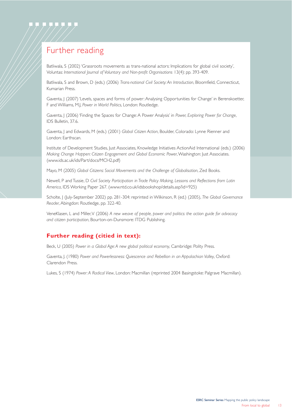

# Further reading

Batliwala, S (2002) 'Grassroots movements as trans-national actors: Implications for global civil society', Voluntas: *International Journal of Voluntary and Non-profit Organisations* 13(4): pp. 393-409.

Batliwala, S and Brown, D (eds.) (2006) *Trans-national Civil Society: An Introduction*, Bloomfield, Connecticut, Kumarian Press.

Gaventa, J (2007) 'Levels, spaces and forms of power: Analysing Opportunities for Change' in Berenskoetter, F and Williams, M.J, *Power in World Politics*, London: Routledge.

Gaventa, J (2006) 'Finding the Spaces for Change: A Power Analysis' in *Power, Exploring Power for Change*, IDS Bulletin, 37.6.

Gaventa, J and Edwards, M (eds.) (2001) *Global Citizen Action*, Boulder, Colorado: Lynne Rienner and London: Earthscan.

Institute of Development Studies, Just Associates, Knowledge Initiatives ActionAid International (eds.) (2006) *Making Change Happen: Citizen Engagement and Global Economic Power*,Washington: Just Associates. (www.ids.ac.uk/ids/Part/docs/MCH2.pdf)

Mayo, M (2005) *Global Citizens: Social Movements and the Challenge of Globalisation*, Zed Books.

Newell, P and Tussie, D *Civil Society Participation in Trade Policy Making, Lessons and Reflections from Latin America*, IDS Working Paper 267. (www.ntd.co.uk/idsbookshop/details.asp?id=925)

Scholte, J (July-September 2002) pp. 281-304: reprinted in Wilkinson, R (ed.) (2005), *The Global Governance Reader*, Abingdon: Routledge, pp. 322-40.

VeneKlasen, L and Miller,V (2006) *A new weave of people, power and politics: the action guide for advocacy and citizen participation*, Bourton-on-Dunsmore: ITDG Publishing.

#### **Further reading (citied in text):**

Beck, U (2005) *Power in a Global Age: A new global political economy*, Cambridge: Polity Press.

Gaventa, J. (1980) *Power and Powerlessness: Quiescence and Rebellion in an Appalachian Valley*, Oxford: Clarendon Press.

Lukes, S (1974) *Power: A Radical View*, London: Macmillan (reprinted 2004 Basingstoke: Palgrave Macmillan).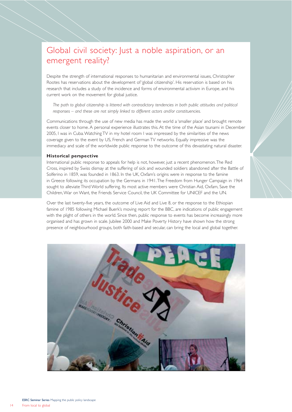## Global civil society: Just a noble aspiration, or an emergent reality?

Despite the strength of international responses to humanitarian and environmental issues, Christopher Rootes has reservations about the development of 'global citizenship'. His reservation is based on his research that includes a study of the incidence and forms of environmental activism in Europe, and his current work on the movement for global justice.

*The path to global citizenship is littered with contradictory tendencies in both public attitudes and political responses – and these are not simply linked to different actors and/or constituencies.*

Communications through the use of new media has made the world a 'smaller place' and brought remote events closer to home. A personal experience illustrates this. At the time of the Asian tsunami in December 2005, I was in Cuba.Watching TV in my hotel room I was impressed by the similarities of the news coverage given to the event by US, French and German TV networks. Equally impressive was the immediacy and scale of the worldwide public response to the outcome of this devastating natural disaster.

#### **Historical perspective**

International public response to appeals for help is not, however, just a recent phenomenon.The Red Cross, inspired by Swiss dismay at the suffering of sick and wounded soldiers abandoned after the Battle of Solferino in 1859, was founded in 1863. In the UK, Oxfam's origins were in response to the famine in Greece following its occupation by the Germans in 1941.The Freedom from Hunger Campaign in 1964 sought to alleviate Third World suffering. Its most active members were Christian Aid, Oxfam, Save the Children,War on Want, the Friends Service Council, the UK Committee for UNICEF and the UN.

Over the last twenty-five years, the outcome of Live Aid and Live 8, or the response to the Ethiopian famine of 1985 following Michael Buerk's moving report for the BBC, are indications of public engagement with the plight of others in the world. Since then, public response to events has become increasingly more organised and has grown in scale. Jubilee 2000 and Make Poverty History have shown how the strong presence of neighbourhood groups, both faith-based and secular, can bring the local and global together.

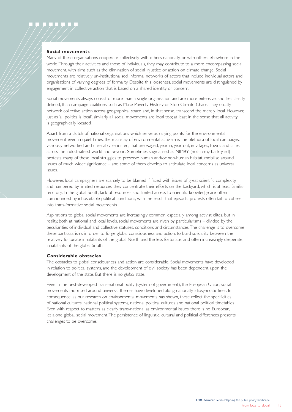#### **Social movements**

Many of these organisations cooperate collectively with others nationally, or with others elsewhere in the world.Through their activities and those of individuals, they may contribute to a more encompassing social movement, with aims such as the elimination of social injustice or action on climate change. Social movements are relatively un-institutionalised, informal networks of actors that include individual actors and organisations of varying degrees of formality. Despite this looseness, social movements are distinguished by engagement in collective action that is based on a shared identity or concern.

Social movements always consist of more than a single organisation and are more extensive, and less clearly defined, than campaign coalitions, such as Make Poverty History or Stop Climate Chaos.They usually network collective action across geographical space and, in that sense, transcend the merely local. However, just as 'all politics is local', similarly, all social movements are local too; at least in the sense that all activity is geographically located.

Apart from a clutch of national organisations which serve as rallying points for the environmental movement even in quiet times, the mainstay of environmental activism is the plethora of local campaigns, variously networked and unreliably reported, that are waged, year in, year out, in villages, towns and cities across the industrialised world and beyond. Sometimes stigmatised as NIMBY (not-in-my-back-yard) protests, many of these local struggles to preserve human and/or non-human habitat, mobilise around issues of much wider significance – and some of them develop to articulate local concerns as universal issues.

However, local campaigners are scarcely to be blamed if, faced with issues of great scientific complexity, and hampered by limited resources, they concentrate their efforts on the backyard, which is at least familiar territory. In the global South, lack of resources and limited access to scientific knowledge are often compounded by inhospitable political conditions, with the result that episodic protests often fail to cohere into trans-formative social movements.

Aspirations to global social movements are increasingly common, especially among activist elites, but in reality, both at national and local levels, social movements are riven by particularisms – divided by the peculiarities of individual and collective statuses, conditions and circumstances.The challenge is to overcome these particularisms in order to forge global consciousness and action, to build solidarity between the relatively fortunate inhabitants of the global North and the less fortunate, and often increasingly desperate, inhabitants of the global South.

#### **Considerable obstacles**

The obstacles to global consciousness and action are considerable. Social movements have developed in relation to political systems, and the development of civil society has been dependent upon the development of the state. But there is no *global* state.

Even in the best-developed trans-national polity (system of government), the European Union, social movements mobilised around universal themes have developed along nationally idiosyncratic lines. In consequence, as our research on environmental movements has shown, these reflect the specificities of national cultures, national political systems, national political cultures and national political timetables. Even with respect to matters as clearly trans-national as environmental issues, there is no European, let alone global, social movement.The persistence of linguistic, cultural and political differences presents challenges to be overcome.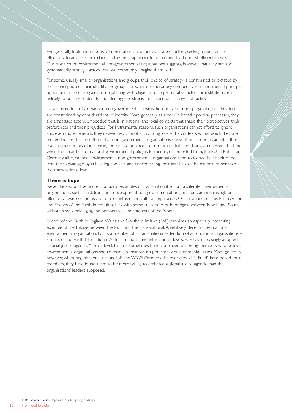We generally look upon non-governmental organisations as strategic actors, seeking opportunities effectively to advance their claims in the most appropriate arenas and by the most efficient means. Our research on environmental non-governmental organisations suggests, however, that they are less systematically strategic actors than we commonly imagine them to be.

For some, usually smaller organisations and groups, their choice of strategy is constrained or dictated by their conception of their identity; for groups for whom participatory democracy is a fundamental principle, opportunities to make gains by negotiating with oligarchic or representative actors or institutions are unlikely to be seized. Identity and ideology constrains the choice of strategy and tactics.

Larger, more formally organised non-governmental organisations may be more pragmatic, but they too are constrained by considerations of identity. More generally, as actors in broadly political processes, they are *embedded* actors, embedded, that is, in national and local contexts that shape their perspectives, their preferences and their prejudices. For instrumental reasons, such organisations cannot afford to ignore – and, even more generally, they *believe* they cannot afford to ignore – the contexts within which they are embedded, for it is from them that non-governmental organisations derive their resources, and it is there that the possibilities of influencing policy and practice are most immediate and transparent. Even at a time when the great bulk of national environmental policy is formed in, or imported from, the EU, in Britain and Germany alike, national environmental non-governmental organisations tend to follow their habit rather than their advantage by cultivating contacts and concentrating their activities at the national rather than the trans-national level.

#### **There is hope**

Nevertheless, positive and encouraging examples of trans-national action proliferate. Environmental organisations, such as aid, trade and development non-governmental organisations, are increasingly and effectively aware of the risks of ethnocentrism and cultural imperialism. Organisations such as Earth Action and Friends of the Earth International try with some success to build bridges between North and South without simply privileging the perspectives and interests of the North.

Friends of the Earth in England,Wales and Northern Ireland (FoE), provides an especially interesting example of the linkage between the local and the trans-national. A relatively decentralised national environmental organisation, FoE is a member of a trans-national federation of autonomous organisations – Friends of the Earth International. At local, national and international levels, FoE has increasingly adopted a social justice agenda. At local level, this has sometimes been controversial among members who believe environmental organisations should maintain their focus upon strictly environmental issues. More generally, however, when organisations such as FoE and WWF (formerly the World Wildlife Fund) have polled their members, they have found them to be more willing to embrace a global justice agenda than the organisations' leaders supposed.

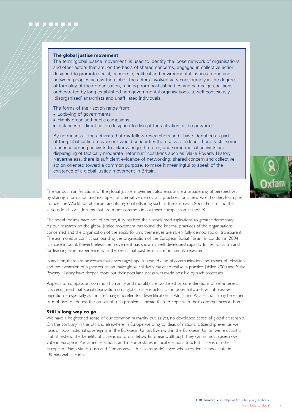#### **The global justice movement**

The term 'global justice movement' is used to identify the loose network of organisations and other actors that are, on the basis of shared concerns, engaged in collective action designed to promote social, economic, political and environmental justice among and between peoples across the globe. The actors involved vary considerably in the degree of formality of their organisation, ranging from political parties and campaign coalitions orchestrated by long-established non-governmental organisations, to self-consciously 'disorganised' anarchists and unaffiliated individuals.

The forms of their action range from:

- **E** Lobbying of governments
- **E** Highly organised public campaigns
- **Instances of direct action designed to disrupt the activities of the powerful.**

By no means all the activists that my fellow researchers and I have identified as part of the global justice movement would so identify themselves. Indeed, there is still some reticence among activists to acknowledge the term, and some radical activists are disparaging of tactically moderate 'reformist' coalitions such as Make Poverty History. Nevertheless, there is sufficient evidence of networking, shared concern and collective action oriented toward a common purpose, to make it meaningful to speak of the existence of a global justice movement in Britain.



The various manifestations of the global justice movement also encourage a broadening of perspectives by sharing information and examples of alternative democratic practices for 'a new world order'. Examples include: the World Social Forum and its regional offspring such as the European Social Forum and the various local social forums that are more common in southern Europe than in the UK.

The social forums have not, of course, fully realised their proclaimed aspirations to greater democracy. As our research on the global justice movement has found, the internal practices of the organisations concerned and the organisation of the social forums themselves are rarely fully democratic or transparent. The acrimonious conflict surrounding the organisation of the European Social Forum in London in 2004 is a case in point. Nevertheless, the movement has shown a well-developed capacity for self-criticism and for learning from experience, with the result that past errors are not simply repeated.

In addition, there are processes that encourage hope. Increased ease of communication, the impact of television and the expansion of higher education make global solidarity easier to realise in practice. Jubilee 2000 and Make Poverty History have deeper roots, but their popular success was made possible by such processes.

Appeals to compassion, common humanity and morality are bolstered by considerations of self-interest. It is recognised that social deprivation on a global scale is actually, and potentially, a driver of massive migration – especially as climate change accelerates desertification in Africa and Asia – and it may be easier to mobilise to address the causes of such problems abroad than to cope with their consequences at home.

#### **Still a long way to go**

We have a heightened sense of our common humanity but, as yet, no developed sense of global citizenship. On the contrary, in the UK and elsewhere in Europe we cling to ideas of national citizenship even as we lose, or pool, national sovereignty in the European Union. Even within the European Union we reluctantly, if at all, extend the benefits of citizenship to our fellow Europeans, although they can in most cases now vote in European Parliament elections, and in some states in local elections too. But citizens of other European Union states (Irish and Commonwealth citizens aside), even when resident, cannot vote in UK national elections.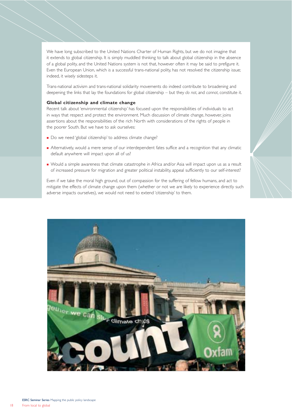We have long subscribed to the United Nations Charter of Human Rights, but we do not imagine that it extends to global citizenship. It is simply muddled thinking to talk about global citizenship in the absence of a global polity, and the United Nations system is not that, however often it may be said to prefigure it. Even the European Union, which *is* a successful trans-national polity, has not resolved the citizenship issue; indeed, it wisely sidesteps it.

Trans-national activism and trans-national solidarity movements do indeed contribute to broadening and deepening the links that lay the foundations for global citizenship – but they *do not*, and *cannot*, constitute it.

#### **Global citizenship and climate change**

Recent talk about 'environmental citizenship' has focused upon the responsibilities of individuals to act in ways that respect and protect the environment. Much discussion of climate change, however, joins assertions about the responsibilities of the rich North with considerations of the rights of people in the poorer South. But we have to ask ourselves:

- **.** Do we need 'global citizenship' to address climate change?
- ! Alternatively, would a mere sense of our interdependent fates suffice and a recognition that any climatic default anywhere will impact upon all of us?
- ! Would a simple awareness that climate catastrophe in Africa and/or Asia will impact upon us as a result of increased pressure for migration and greater political instability, appeal sufficiently to our self-interest?

Even if we take the moral high ground, out of compassion for the suffering of fellow humans, and act to mitigate the effects of climate change upon them (whether or not we are likely to experience directly such adverse impacts ourselves), we would not need to extend 'citizenship' to them.

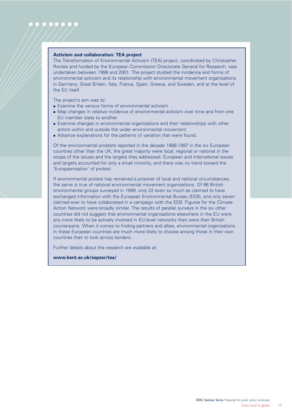#### **Activism and collaboration: TEA project**

The Transformation of Environmental Activism (TEA) project, coordinated by Christopher Rootes and funded by the European Commission Directorate General for Research, was undertaken between 1998 and 2001. The project studied the incidence and forms of environmental activism and its relationship with environmental movement organisations in Germany, Great Britain, Italy, France, Spain, Greece, and Sweden, and at the level of the EU itself.

The project's aim was to:

- **Examine the various forms of environmental activism**
- ! Map changes in relative incidence of environmental activism over time and from one EU member state to another
- ! Examine changes in environmental organisations and their relationships with other actors within and outside the wider environmental movement
- ! Advance explanations for the patterns of variation that were found.

Of the environmental protests reported in the decade 1988-1997 in the six European countries other than the UK, the great majority were local, regional or national in the scope of the issues and the targets they addressed. European and international issues and targets accounted for only a small minority, and there was no trend toward the 'Europeanisation' of protest.

If environmental protest has remained a prisoner of local and national circumstances, the same is true of national environmental movement organisations. Of 86 British environmental groups surveyed in 1999, only 22 even so much as claimed to have exchanged information with the European Environmental Bureau (EEB), and only seven claimed ever to have collaborated in a campaign with the EEB. Figures for the Climate Action Network were broadly similar. The results of parallel surveys in the six other countries did not suggest that environmental organisations elsewhere in the EU were any more likely to be actively involved in EU-level networks than were their British counterparts. When it comes to finding partners and allies, environmental organisations in these European countries are much more likely to choose among those in their own countries than to look across borders.

Further details about the research are available at:

**www.kent.ac.uk/sspssr/tea/**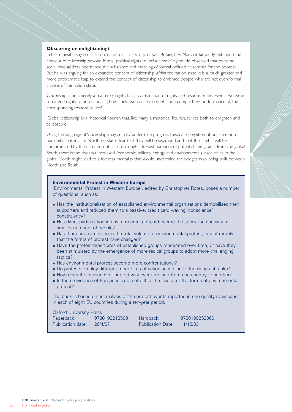#### **Obscuring or enlightening?**

In his seminal essay on citizenship and social class in post-war Britain,T. H. Marshall famously extended the concept of citizenship beyond formal political rights to include *social* rights. He observed that extreme social inequalities undermined the substance and meaning of formal political citizenship for the poorest. But he was arguing for an expanded concept of citizenship *within* the nation state. It is a much greater and more problematic leap to extend the concept of citizenship to embrace people who are not even formal citizens of the nation state.

Citizenship is not merely a matter of rights, but a combination of rights *and* responsibilities. Even if we were to extend rights to non-nationals, how could we conceive of, let alone compel their performance of, the corresponding responsibilities?

'Global citizenship' is a rhetorical flourish that, like many a rhetorical flourish, serves both to enlighten and to obscure.

Using the language of 'citizenship' may actually undermine progress toward recognition of our common humanity. If citizens of Northern states fear that they will be swamped and that their rights will be compromised by the extension of citizenship rights to vast numbers of potential immigrants from the global South, there is the risk that increased (economic, military, energy and environmental) insecurities in the global North might lead to a fortress mentality that would undermine the bridges now being built between North and South.

#### **Environmental Protest in Western Europe**

'Environmental Protest in Western Europe', edited by Christopher Rotes, poses a number of questions, such as:

- **.** Has the institutionalisation of established environmental organisations demobilised their supporters and reduced them to a passive, credit card waving 'conscience' constituency?
- **EXTERN** Has direct participation in environmental protest become the specialised activity of smaller numbers of people?
- **.** Has there been a decline in the total volume of environmental protest, or is it merely that the forms of protest have changed?
- **.** Have the protest repertoires of established groups moderated over time, or have they been stimulated by the emergence of more radical groups to adopt more challenging tactics?
- ! Has environmental protest become more confrontational?
- ! Do protests employ different repertoires of action according to the issues at stake?
- ! How does the incidence of protest vary over time and from one country to another?
- **.** Is there evidence of Europeanisation of either the issues or the forms of environmental protest?

The book is based on an analysis of the protest events reported in one quality newspaper in each of eight EU countries during a ten-year period.

Oxford University Press Paperback: 9780199218509 Hardback: 9780199252060 Publication date: 26/4/07 Publication Date: 11/12/03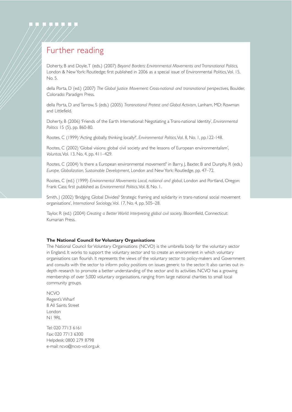# Further reading

Doherty, B and Doyle,T (eds.) (2007) *Beyond Borders: Environmental Movements and Transnational Politics*, London & New York: Routledge; first published in 2006 as a special issue of Environmental Politics, Vol. 15, No. 5.

della Porta, D (ed.) (2007) *The Global Justice Movement: Cross-national and transnational perspectives*, Boulder, Colorado: Paradigm Press.

della Porta, D and Tarrow, S (eds.) (2005) *Transnational Protest and Global Activism*, Lanham, MD: Rowman and Littlefield.

Doherty, B (2006) 'Friends of the Earth International: Negotiating a Trans-national Identity', *Environmental Politics* 15 (5), pp. 860-80.

Rootes, C (1999) 'Acting globally, thinking locally?', *Environmental Politics*,Vol. 8, No. 1, pp.122-148.

Rootes, C (2002) 'Global visions: global civil society and the lessons of European environmentalism', *Voluntas*,Vol. 13, No. 4, pp. 411–429.

Rootes, C (2004) 'Is there a European environmental movement?' in Barry, I, Baxter, B and Dunphy, R (eds.) *Europe, Globalization, Sustainable Development*, London and New York: Routledge, pp. 47–72.

Rootes, C (ed.) (1999) *Environmental Movements: Local, national and global*, London and Portland, Oregon: Frank Cass; first published as *Environmental Politics*,Vol. 8, No. 1.

Smith, J (2002) 'Bridging Global Divides? Strategic framing and solidarity in trans-national social movement organisations', *International Sociology*,Vol. 17, No. 4, pp. 505–28.

Taylor, R (ed.) (2004) *Creating a Better World: Interpreting global civil society*. Bloomfield, Connecticut: Kumarian Press.

#### **The National Council for Voluntary Organisations**

The National Council for Voluntary Organisations (NCVO) is the umbrella body for the voluntary sector in England. It works to support the voluntary sector and to create an environment in which voluntary organisations can flourish. It represents the views of the voluntary sector to policy-makers and Government and consults with the sector to inform policy positions on issues generic to the sector. It also carries out indepth research to promote a better understanding of the sector and its activities. NCVO has a growing membership of over 5,000 voluntary organisations, ranging from large national charities to small local community groups.

NCVO Regent's Wharf 8 All Saints Street London N1 9RL

Tel: 020 7713 6161 Fax: 020 7713 6300 Helpdesk: 0800 279 8798 e-mail: ncvo@ncvo-vol.org.uk